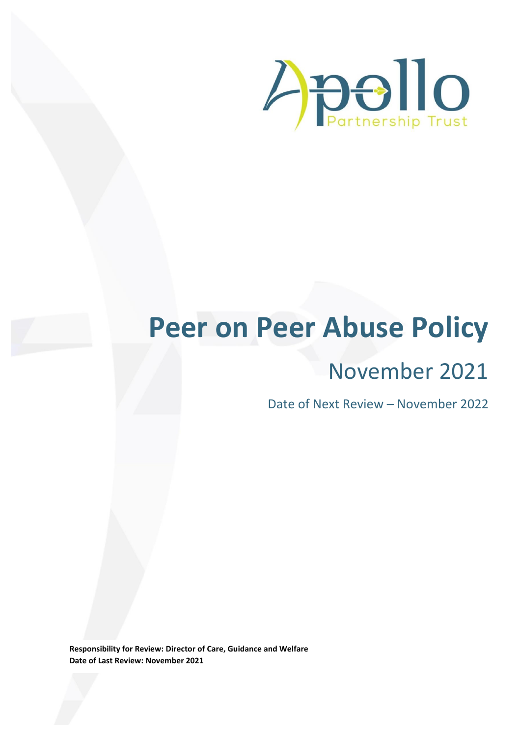

# **Peer on Peer Abuse Policy**

# November 2021

Date of Next Review – November 2022

**Responsibility for Review: Director of Care, Guidance and Welfare Date of Last Review: November 2021**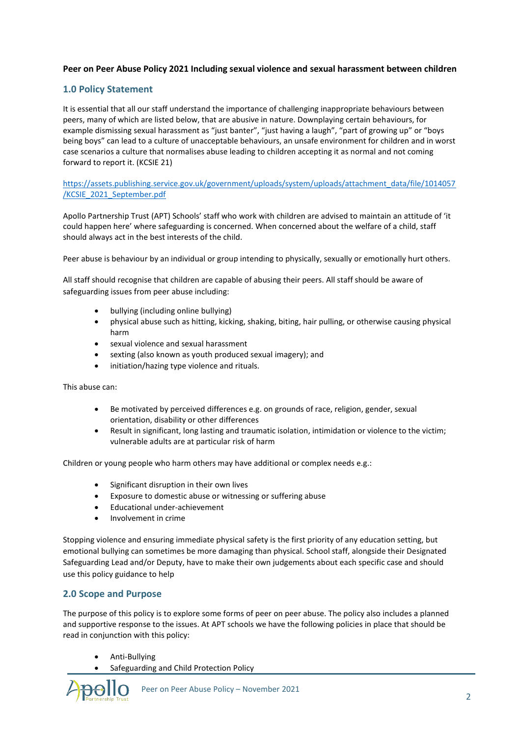# **Peer on Peer Abuse Policy 2021 Including sexual violence and sexual harassment between children**

# **1.0 Policy Statement**

It is essential that all our staff understand the importance of challenging inappropriate behaviours between peers, many of which are listed below, that are abusive in nature. Downplaying certain behaviours, for example dismissing sexual harassment as "just banter", "just having a laugh", "part of growing up" or "boys being boys" can lead to a culture of unacceptable behaviours, an unsafe environment for children and in worst case scenarios a culture that normalises abuse leading to children accepting it as normal and not coming forward to report it. (KCSIE 21)

# [https://assets.publishing.service.gov.uk/government/uploads/system/uploads/attachment\\_data/file/1014057](https://assets.publishing.service.gov.uk/government/uploads/system/uploads/attachment_data/file/1014057/KCSIE_2021_September.pdf) [/KCSIE\\_2021\\_September.pdf](https://assets.publishing.service.gov.uk/government/uploads/system/uploads/attachment_data/file/1014057/KCSIE_2021_September.pdf)

Apollo Partnership Trust (APT) Schools' staff who work with children are advised to maintain an attitude of 'it could happen here' where safeguarding is concerned. When concerned about the welfare of a child, staff should always act in the best interests of the child.

Peer abuse is behaviour by an individual or group intending to physically, sexually or emotionally hurt others.

All staff should recognise that children are capable of abusing their peers. All staff should be aware of safeguarding issues from peer abuse including:

- bullying (including online bullying)
- physical abuse such as hitting, kicking, shaking, biting, hair pulling, or otherwise causing physical harm
- sexual violence and sexual harassment
- sexting (also known as youth produced sexual imagery); and
- initiation/hazing type violence and rituals.

This abuse can:

- Be motivated by perceived differences e.g. on grounds of race, religion, gender, sexual orientation, disability or other differences
- Result in significant, long lasting and traumatic isolation, intimidation or violence to the victim; vulnerable adults are at particular risk of harm

Children or young people who harm others may have additional or complex needs e.g.:

- Significant disruption in their own lives
- Exposure to domestic abuse or witnessing or suffering abuse
- Educational under-achievement
- Involvement in crime

Stopping violence and ensuring immediate physical safety is the first priority of any education setting, but emotional bullying can sometimes be more damaging than physical. School staff, alongside their Designated Safeguarding Lead and/or Deputy, have to make their own judgements about each specific case and should use this policy guidance to help

# **2.0 Scope and Purpose**

The purpose of this policy is to explore some forms of peer on peer abuse. The policy also includes a planned and supportive response to the issues. At APT schools we have the following policies in place that should be read in conjunction with this policy:

- Anti-Bullying
- Safeguarding and Child Protection Policy

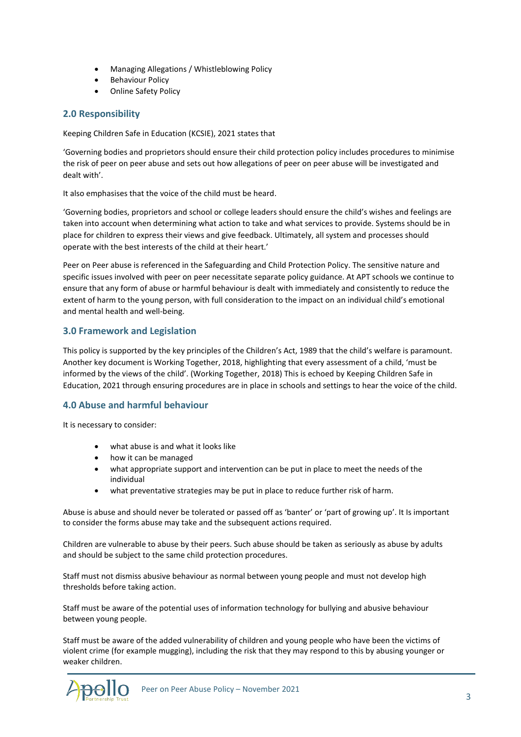- Managing Allegations / Whistleblowing Policy
- Behaviour Policy
- Online Safety Policy

# **2.0 Responsibility**

Keeping Children Safe in Education (KCSIE), 2021 states that

'Governing bodies and proprietors should ensure their child protection policy includes procedures to minimise the risk of peer on peer abuse and sets out how allegations of peer on peer abuse will be investigated and dealt with'.

It also emphasises that the voice of the child must be heard.

'Governing bodies, proprietors and school or college leaders should ensure the child's wishes and feelings are taken into account when determining what action to take and what services to provide. Systems should be in place for children to express their views and give feedback. Ultimately, all system and processes should operate with the best interests of the child at their heart.'

Peer on Peer abuse is referenced in the Safeguarding and Child Protection Policy. The sensitive nature and specific issues involved with peer on peer necessitate separate policy guidance. At APT schools we continue to ensure that any form of abuse or harmful behaviour is dealt with immediately and consistently to reduce the extent of harm to the young person, with full consideration to the impact on an individual child's emotional and mental health and well-being.

# **3.0 Framework and Legislation**

This policy is supported by the key principles of the Children's Act, 1989 that the child's welfare is paramount. Another key document is Working Together, 2018, highlighting that every assessment of a child, 'must be informed by the views of the child'. (Working Together, 2018) This is echoed by Keeping Children Safe in Education, 2021 through ensuring procedures are in place in schools and settings to hear the voice of the child.

# **4.0 Abuse and harmful behaviour**

It is necessary to consider:

- what abuse is and what it looks like
- how it can be managed
- what appropriate support and intervention can be put in place to meet the needs of the individual
- what preventative strategies may be put in place to reduce further risk of harm.

Abuse is abuse and should never be tolerated or passed off as 'banter' or 'part of growing up'. It Is important to consider the forms abuse may take and the subsequent actions required.

Children are vulnerable to abuse by their peers. Such abuse should be taken as seriously as abuse by adults and should be subject to the same child protection procedures.

Staff must not dismiss abusive behaviour as normal between young people and must not develop high thresholds before taking action.

Staff must be aware of the potential uses of information technology for bullying and abusive behaviour between young people.

Staff must be aware of the added vulnerability of children and young people who have been the victims of violent crime (for example mugging), including the risk that they may respond to this by abusing younger or weaker children.

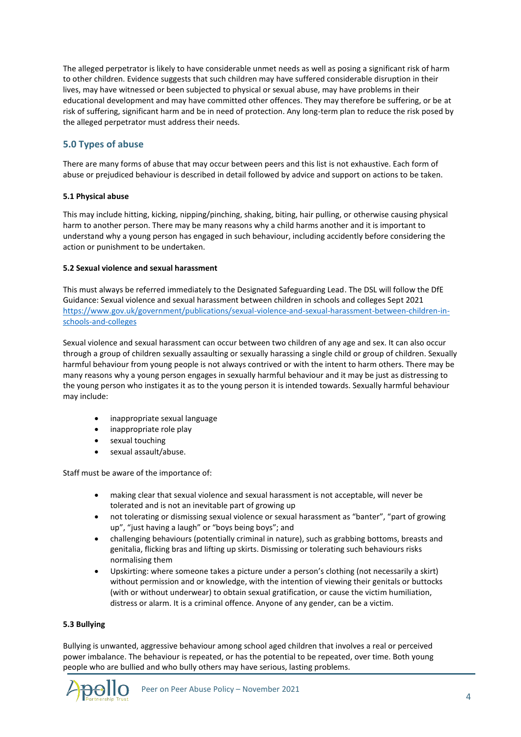The alleged perpetrator is likely to have considerable unmet needs as well as posing a significant risk of harm to other children. Evidence suggests that such children may have suffered considerable disruption in their lives, may have witnessed or been subjected to physical or sexual abuse, may have problems in their educational development and may have committed other offences. They may therefore be suffering, or be at risk of suffering, significant harm and be in need of protection. Any long-term plan to reduce the risk posed by the alleged perpetrator must address their needs.

# **5.0 Types of abuse**

There are many forms of abuse that may occur between peers and this list is not exhaustive. Each form of abuse or prejudiced behaviour is described in detail followed by advice and support on actions to be taken.

#### **5.1 Physical abuse**

This may include hitting, kicking, nipping/pinching, shaking, biting, hair pulling, or otherwise causing physical harm to another person. There may be many reasons why a child harms another and it is important to understand why a young person has engaged in such behaviour, including accidently before considering the action or punishment to be undertaken.

#### **5.2 Sexual violence and sexual harassment**

This must always be referred immediately to the Designated Safeguarding Lead. The DSL will follow the DfE Guidance: Sexual violence and sexual harassment between children in schools and colleges Sept 2021 [https://www.gov.uk/government/publications/sexual-violence-and-sexual-harassment-between-children-in](https://www.gov.uk/government/publications/sexual-violence-and-sexual-harassment-between-children-in-schools-and-colleges)[schools-and-colleges](https://www.gov.uk/government/publications/sexual-violence-and-sexual-harassment-between-children-in-schools-and-colleges)

Sexual violence and sexual harassment can occur between two children of any age and sex. It can also occur through a group of children sexually assaulting or sexually harassing a single child or group of children. Sexually harmful behaviour from young people is not always contrived or with the intent to harm others. There may be many reasons why a young person engages in sexually harmful behaviour and it may be just as distressing to the young person who instigates it as to the young person it is intended towards. Sexually harmful behaviour may include:

- inappropriate sexual language
- inappropriate role play
- sexual touching
- sexual assault/abuse.

Staff must be aware of the importance of:

- making clear that sexual violence and sexual harassment is not acceptable, will never be tolerated and is not an inevitable part of growing up
- not tolerating or dismissing sexual violence or sexual harassment as "banter", "part of growing up", "just having a laugh" or "boys being boys"; and
- challenging behaviours (potentially criminal in nature), such as grabbing bottoms, breasts and genitalia, flicking bras and lifting up skirts. Dismissing or tolerating such behaviours risks normalising them
- Upskirting: where someone takes a picture under a person's clothing (not necessarily a skirt) without permission and or knowledge, with the intention of viewing their genitals or buttocks (with or without underwear) to obtain sexual gratification, or cause the victim humiliation, distress or alarm. It is a criminal offence. Anyone of any gender, can be a victim.

#### **5.3 Bullying**

Bullying is unwanted, aggressive behaviour among school aged children that involves a real or perceived power imbalance. The behaviour is repeated, or has the potential to be repeated, over time. Both young people who are bullied and who bully others may have serious, lasting problems.

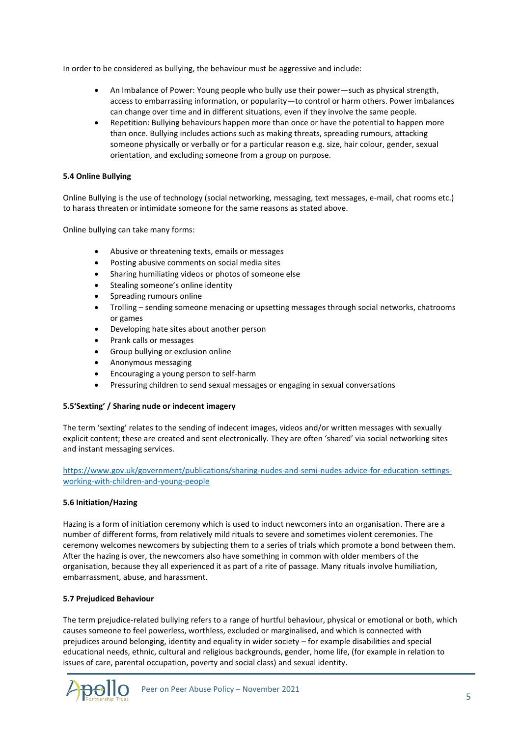In order to be considered as bullying, the behaviour must be aggressive and include:

- An Imbalance of Power: Young people who bully use their power—such as physical strength, access to embarrassing information, or popularity—to control or harm others. Power imbalances can change over time and in different situations, even if they involve the same people.
- Repetition: Bullying behaviours happen more than once or have the potential to happen more than once. Bullying includes actions such as making threats, spreading rumours, attacking someone physically or verbally or for a particular reason e.g. size, hair colour, gender, sexual orientation, and excluding someone from a group on purpose.

# **5.4 Online Bullying**

Online Bullying is the use of technology (social networking, messaging, text messages, e-mail, chat rooms etc.) to harass threaten or intimidate someone for the same reasons as stated above.

Online bullying can take many forms:

- Abusive or threatening texts, emails or messages
- Posting abusive comments on social media sites
- Sharing humiliating videos or photos of someone else
- Stealing someone's online identity
- Spreading rumours online
- Trolling sending someone menacing or upsetting messages through social networks, chatrooms or games
- Developing hate sites about another person
- Prank calls or messages
- Group bullying or exclusion online
- Anonymous messaging
- Encouraging a young person to self-harm
- Pressuring children to send sexual messages or engaging in sexual conversations

#### **5.5'Sexting' / Sharing nude or indecent imagery**

The term 'sexting' relates to the sending of indecent images, videos and/or written messages with sexually explicit content; these are created and sent electronically. They are often 'shared' via social networking sites and instant messaging services.

[https://www.gov.uk/government/publications/sharing-nudes-and-semi-nudes-advice-for-education-settings](https://www.gov.uk/government/publications/sharing-nudes-and-semi-nudes-advice-for-education-settings-working-with-children-and-young-people)[working-with-children-and-young-people](https://www.gov.uk/government/publications/sharing-nudes-and-semi-nudes-advice-for-education-settings-working-with-children-and-young-people)

#### **5.6 Initiation/Hazing**

Hazing is a form of initiation ceremony which is used to induct newcomers into an organisation. There are a number of different forms, from relatively mild rituals to severe and sometimes violent ceremonies. The ceremony welcomes newcomers by subjecting them to a series of trials which promote a bond between them. After the hazing is over, the newcomers also have something in common with older members of the organisation, because they all experienced it as part of a rite of passage. Many rituals involve humiliation, embarrassment, abuse, and harassment.

#### **5.7 Prejudiced Behaviour**

The term prejudice-related bullying refers to a range of hurtful behaviour, physical or emotional or both, which causes someone to feel powerless, worthless, excluded or marginalised, and which is connected with prejudices around belonging, identity and equality in wider society – for example disabilities and special educational needs, ethnic, cultural and religious backgrounds, gender, home life, (for example in relation to issues of care, parental occupation, poverty and social class) and sexual identity.

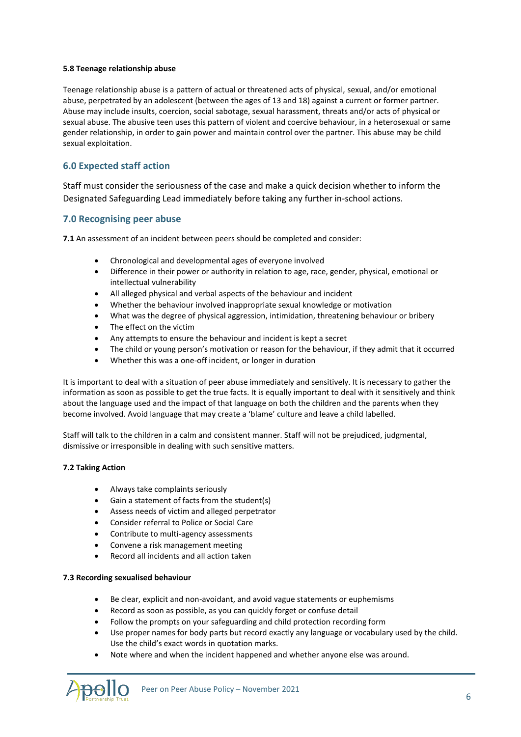#### **5.8 Teenage relationship abuse**

Teenage relationship abuse is a pattern of actual or threatened acts of physical, sexual, and/or emotional abuse, perpetrated by an adolescent (between the ages of 13 and 18) against a current or former partner. Abuse may include insults, coercion, social sabotage, sexual harassment, threats and/or acts of physical or sexual abuse. The abusive teen uses this pattern of violent and coercive behaviour, in a heterosexual or same gender relationship, in order to gain power and maintain control over the partner. This abuse may be child sexual exploitation.

# **6.0 Expected staff action**

Staff must consider the seriousness of the case and make a quick decision whether to inform the Designated Safeguarding Lead immediately before taking any further in-school actions.

# **7.0 Recognising peer abuse**

**7.1** An assessment of an incident between peers should be completed and consider:

- Chronological and developmental ages of everyone involved
- Difference in their power or authority in relation to age, race, gender, physical, emotional or intellectual vulnerability
- All alleged physical and verbal aspects of the behaviour and incident
- Whether the behaviour involved inappropriate sexual knowledge or motivation
- What was the degree of physical aggression, intimidation, threatening behaviour or bribery
- The effect on the victim
- Any attempts to ensure the behaviour and incident is kept a secret
- The child or young person's motivation or reason for the behaviour, if they admit that it occurred
- Whether this was a one-off incident, or longer in duration

It is important to deal with a situation of peer abuse immediately and sensitively. It is necessary to gather the information as soon as possible to get the true facts. It is equally important to deal with it sensitively and think about the language used and the impact of that language on both the children and the parents when they become involved. Avoid language that may create a 'blame' culture and leave a child labelled.

Staff will talk to the children in a calm and consistent manner. Staff will not be prejudiced, judgmental, dismissive or irresponsible in dealing with such sensitive matters.

# **7.2 Taking Action**

- Always take complaints seriously
- Gain a statement of facts from the student(s)
- Assess needs of victim and alleged perpetrator
- Consider referral to Police or Social Care
- Contribute to multi-agency assessments
- Convene a risk management meeting
- Record all incidents and all action taken

#### **7.3 Recording sexualised behaviour**

- Be clear, explicit and non-avoidant, and avoid vague statements or euphemisms
- Record as soon as possible, as you can quickly forget or confuse detail
- Follow the prompts on your safeguarding and child protection recording form
- Use proper names for body parts but record exactly any language or vocabulary used by the child. Use the child's exact words in quotation marks.
- Note where and when the incident happened and whether anyone else was around.

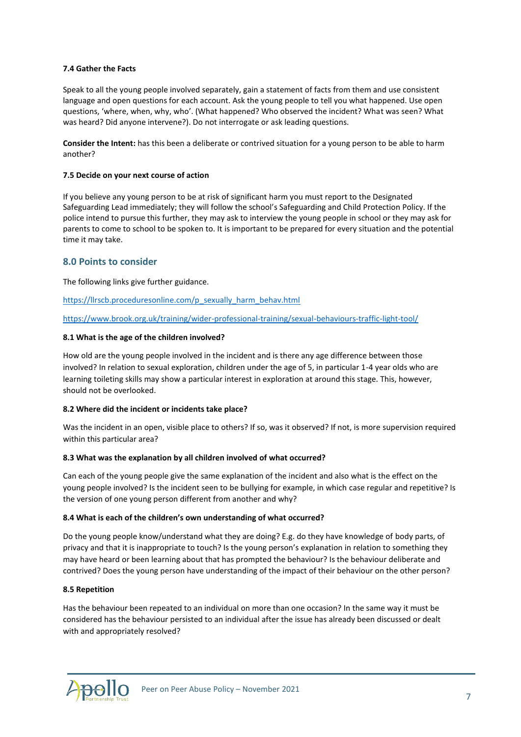#### **7.4 Gather the Facts**

Speak to all the young people involved separately, gain a statement of facts from them and use consistent language and open questions for each account. Ask the young people to tell you what happened. Use open questions, 'where, when, why, who'. (What happened? Who observed the incident? What was seen? What was heard? Did anyone intervene?). Do not interrogate or ask leading questions.

**Consider the Intent:** has this been a deliberate or contrived situation for a young person to be able to harm another?

#### **7.5 Decide on your next course of action**

If you believe any young person to be at risk of significant harm you must report to the Designated Safeguarding Lead immediately; they will follow the school's Safeguarding and Child Protection Policy. If the police intend to pursue this further, they may ask to interview the young people in school or they may ask for parents to come to school to be spoken to. It is important to be prepared for every situation and the potential time it may take.

# **8.0 Points to consider**

The following links give further guidance.

[https://llrscb.proceduresonline.com/p\\_sexually\\_harm\\_behav.html](https://llrscb.proceduresonline.com/p_sexually_harm_behav.html)

<https://www.brook.org.uk/training/wider-professional-training/sexual-behaviours-traffic-light-tool/>

#### **8.1 What is the age of the children involved?**

How old are the young people involved in the incident and is there any age difference between those involved? In relation to sexual exploration, children under the age of 5, in particular 1-4 year olds who are learning toileting skills may show a particular interest in exploration at around this stage. This, however, should not be overlooked.

# **8.2 Where did the incident or incidents take place?**

Was the incident in an open, visible place to others? If so, was it observed? If not, is more supervision required within this particular area?

#### **8.3 What was the explanation by all children involved of what occurred?**

Can each of the young people give the same explanation of the incident and also what is the effect on the young people involved? Is the incident seen to be bullying for example, in which case regular and repetitive? Is the version of one young person different from another and why?

#### **8.4 What is each of the children's own understanding of what occurred?**

Do the young people know/understand what they are doing? E.g. do they have knowledge of body parts, of privacy and that it is inappropriate to touch? Is the young person's explanation in relation to something they may have heard or been learning about that has prompted the behaviour? Is the behaviour deliberate and contrived? Does the young person have understanding of the impact of their behaviour on the other person?

#### **8.5 Repetition**

Has the behaviour been repeated to an individual on more than one occasion? In the same way it must be considered has the behaviour persisted to an individual after the issue has already been discussed or dealt with and appropriately resolved?

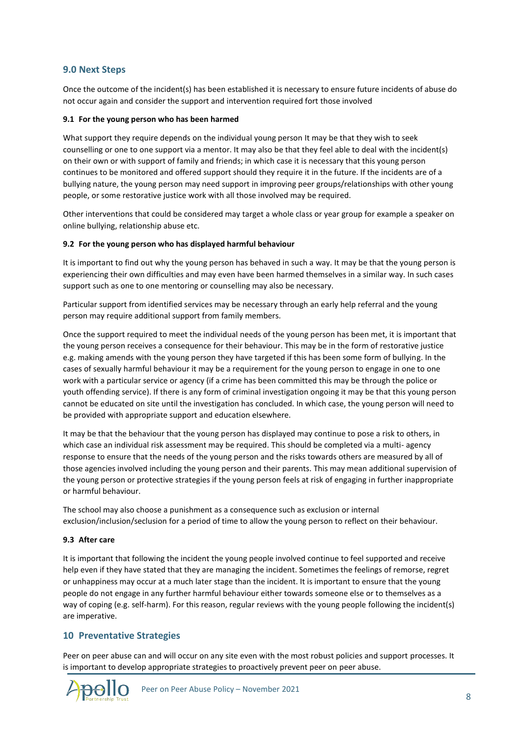# **9.0 Next Steps**

Once the outcome of the incident(s) has been established it is necessary to ensure future incidents of abuse do not occur again and consider the support and intervention required fort those involved

#### **9.1 For the young person who has been harmed**

What support they require depends on the individual young person It may be that they wish to seek counselling or one to one support via a mentor. It may also be that they feel able to deal with the incident(s) on their own or with support of family and friends; in which case it is necessary that this young person continues to be monitored and offered support should they require it in the future. If the incidents are of a bullying nature, the young person may need support in improving peer groups/relationships with other young people, or some restorative justice work with all those involved may be required.

Other interventions that could be considered may target a whole class or year group for example a speaker on online bullying, relationship abuse etc.

#### **9.2 For the young person who has displayed harmful behaviour**

It is important to find out why the young person has behaved in such a way. It may be that the young person is experiencing their own difficulties and may even have been harmed themselves in a similar way. In such cases support such as one to one mentoring or counselling may also be necessary.

Particular support from identified services may be necessary through an early help referral and the young person may require additional support from family members.

Once the support required to meet the individual needs of the young person has been met, it is important that the young person receives a consequence for their behaviour. This may be in the form of restorative justice e.g. making amends with the young person they have targeted if this has been some form of bullying. In the cases of sexually harmful behaviour it may be a requirement for the young person to engage in one to one work with a particular service or agency (if a crime has been committed this may be through the police or youth offending service). If there is any form of criminal investigation ongoing it may be that this young person cannot be educated on site until the investigation has concluded. In which case, the young person will need to be provided with appropriate support and education elsewhere.

It may be that the behaviour that the young person has displayed may continue to pose a risk to others, in which case an individual risk assessment may be required. This should be completed via a multi- agency response to ensure that the needs of the young person and the risks towards others are measured by all of those agencies involved including the young person and their parents. This may mean additional supervision of the young person or protective strategies if the young person feels at risk of engaging in further inappropriate or harmful behaviour.

The school may also choose a punishment as a consequence such as exclusion or internal exclusion/inclusion/seclusion for a period of time to allow the young person to reflect on their behaviour.

#### **9.3 After care**

It is important that following the incident the young people involved continue to feel supported and receive help even if they have stated that they are managing the incident. Sometimes the feelings of remorse, regret or unhappiness may occur at a much later stage than the incident. It is important to ensure that the young people do not engage in any further harmful behaviour either towards someone else or to themselves as a way of coping (e.g. self-harm). For this reason, regular reviews with the young people following the incident(s) are imperative.

# **10 Preventative Strategies**

Peer on peer abuse can and will occur on any site even with the most robust policies and support processes. It is important to develop appropriate strategies to proactively prevent peer on peer abuse.